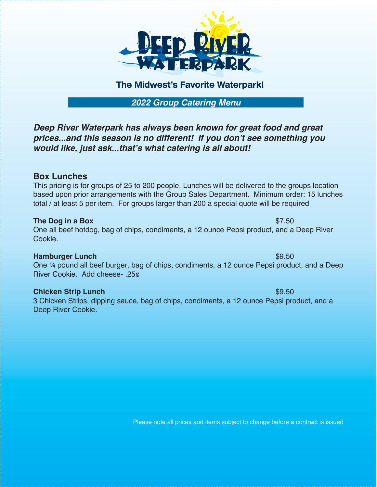

# The Midwest's Favorite Waterpark!

*2022 Group Catering Menu*

*Deep River Waterpark has always been known for great food and great prices...and this season is no different! If you don't see something you would like, just ask...that's what catering is all about!*

## **Box Lunches**

This pricing is for groups of 25 to 200 people. Lunches will be delivered to the groups location based upon prior arrangements with the Group Sales Department. Minimum order: 15 lunches total / at least 5 per item. For groups larger than 200 a special quote will be required

## **The Dog in a Box**  $$7.50$

One all beef hotdog, bag of chips, condiments, a 12 ounce Pepsi product, and a Deep River Cookie.

## **Hamburger Lunch**  $\sim$  89.50

One ¼ pound all beef burger, bag of chips, condiments, a 12 ounce Pepsi product, and a Deep River Cookie. Add cheese- .25¢

## **Chicken Strip Lunch**  $$9.50$

3 Chicken Strips, dipping sauce, bag of chips, condiments, a 12 ounce Pepsi product, and a Deep River Cookie.

Please note all prices and items subject to change before a contract is issued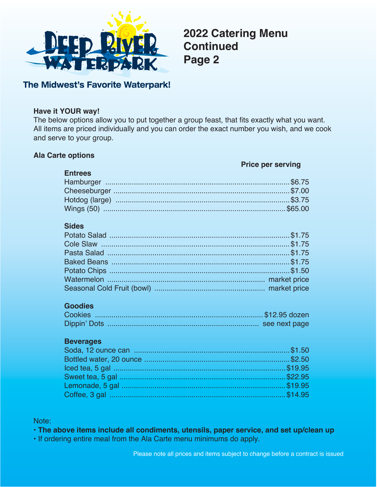

**2022 Catering Menu Continued Page 2**

## The Midwest's Favorite Waterpark!

## **Have it YOUR way!**

The below options allow you to put together a group feast, that fits exactly what you want. All items are priced individually and you can order the exact number you wish, and we cook and serve to your group.

## **Ala Carte options**

#### **Price per serving**

| <b>Entrees</b> |  |
|----------------|--|
|                |  |
|                |  |
|                |  |
|                |  |

## **Sides**

## **Goodies**

## **Beverages**

Note:

• **The above items include all condiments, utensils, paper service, and set up/clean up**

• If ordering entire meal from the Ala Carte menu minimums do apply.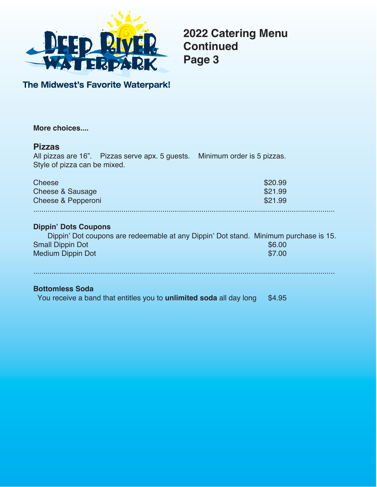

**2022 Catering Menu Continued Page 3**

The Midwest's Favorite Waterpark!

| More choices                                                                                                                                                               |                               |
|----------------------------------------------------------------------------------------------------------------------------------------------------------------------------|-------------------------------|
| <b>Pizzas</b><br>All pizzas are 16". Pizzas serve apx. 5 guests. Minimum order is 5 pizzas.<br>Style of pizza can be mixed.                                                |                               |
| Cheese<br>Cheese & Sausage<br>Cheese & Pepperoni                                                                                                                           | \$20.99<br>\$21.99<br>\$21.99 |
| <b>Dippin' Dots Coupons</b><br>Dippin' Dot coupons are redeemable at any Dippin' Dot stand. Minimum purchase is 15.<br><b>Small Dippin Dot</b><br><b>Medium Dippin Dot</b> | \$6.00<br>\$7.00              |
| <b>Bottomless Soda</b><br>You receive a band that entitles you to <b>unlimited soda</b> all day long                                                                       | \$4.95                        |